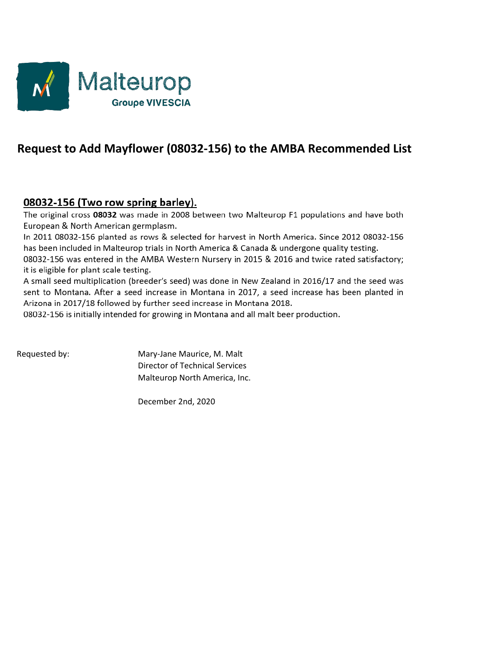

# **Request to Add Mayflower (08032-156) to the AMBA Recommended List**

### 08032-156 (Two row spring barley).

The original cross 08032 was made in 2008 between two Malteurop F1 populations and have both European & North American germplasm.

In 2011 08032-156 planted as rows & selected for harvest in North America. Since 2012 08032-156 has been included in Malteurop trials in North America & Canada & undergone quality testing.

08032-156 was entered in the AMBA Western Nursery in 2015 & 2016 and twice rated satisfactory; it is eligible for plant scale testing.

A small seed multiplication (breeder's seed) was done in New Zealand in 2016/17 and the seed was sent to Montana. After a seed increase in Montana in 2017, a seed increase has been planted in Arizona in 2017/18 followed by further seed increase in Montana 2018.

08032-156 is initially intended for growing in Montana and all malt beer production.

Requested by: Mary-Jane Maurice, M. Malt Director of Technical Services Malteurop North America, Inc.

December 2nd, 2020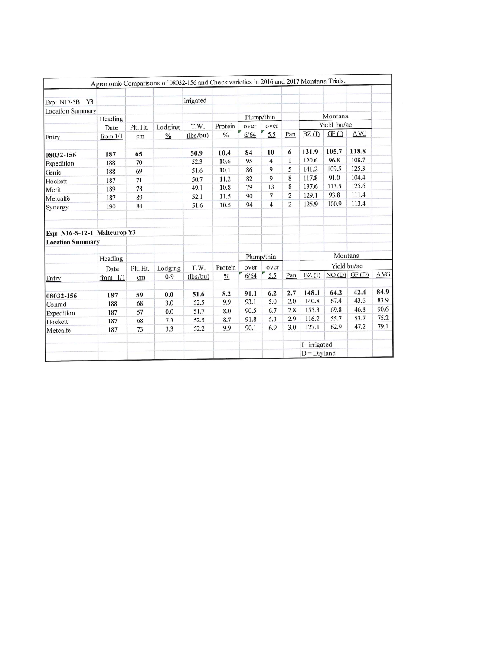|                              |            |          |               | Agronomic Comparisons of 08032-156 and Check varieties in 2016 and 2017 Montana Trials. |               |            |                |                |                 |             |               |            |
|------------------------------|------------|----------|---------------|-----------------------------------------------------------------------------------------|---------------|------------|----------------|----------------|-----------------|-------------|---------------|------------|
| Exp: N17-5B<br>Y3            |            |          |               | irrigated                                                                               |               |            |                |                |                 |             |               |            |
| <b>Location Summary</b>      |            |          |               |                                                                                         |               |            |                |                |                 | Montana     |               |            |
|                              | Heading    |          |               |                                                                                         |               | Plump/thin |                |                |                 |             |               |            |
|                              | Date       | Plt. Ht. | Lodging       | T.W.                                                                                    | Protein       | over       | over           |                |                 | Yield bu/ac |               |            |
| Entry                        | from $1/1$ | cm       | $\frac{0}{6}$ | (lbs/bu)                                                                                | $\%$          | 6/64       | 5.5            | Pan            | BZ(1)           | GF(1)       | <b>AVG</b>    |            |
| 08032-156                    | 187        | 65       |               | 50.9                                                                                    | 10.4          | 84         | 10             | 6              | 131.9           | 105.7       | 118.8         |            |
| Expedition                   | 188        | 70       |               | 52.3                                                                                    | 10.6          | 95         | 4              | 1              | 120.6           | 96.8        | 108.7         |            |
| Genie                        | 188        | 69       |               | 51.6                                                                                    | 10.1          | 86         | 9              | 5              | 141.2           | 109.5       | 125.3         |            |
| Hockett                      | 187        | 71       |               | 50.7                                                                                    | 11.2          | 82         | 9              | 8              | 117.8           | 91.0        | 104.4         |            |
| Merit                        | 189        | 78       |               | 49.1                                                                                    | 10.8          | 79         | 13             | 8              | 137.6           | 113.5       | 125.6         |            |
| Metcalfe                     | 187        | 89       |               | 52.1                                                                                    | 11.5          | 90         | $\overline{7}$ | $\overline{2}$ | 129.1           | 93.8        | 111.4         |            |
| Synergy                      | 190        | 84       |               | 51.6                                                                                    | 10.5          | 94         | $\overline{4}$ | $\overline{2}$ | 125.9           | 100.9       | 113.4         |            |
|                              |            |          |               |                                                                                         |               |            |                |                |                 |             |               |            |
| Exp: N16-5-12-1 Malteurop Y3 |            |          |               |                                                                                         |               |            |                |                |                 |             |               |            |
| <b>Location Summary</b>      |            |          |               |                                                                                         |               |            |                |                |                 |             |               |            |
|                              | Heading    |          |               |                                                                                         |               |            | Plump/thin     |                |                 | Montana     |               |            |
|                              | Date       | Plt. Ht. | Lodging       | T.W.                                                                                    | Protein       | over       | over           |                |                 | Yield bu/ac |               |            |
| Entry                        | from $1/1$ | cm       | $0 - 9$       | (lbs/bu)                                                                                | $\frac{0}{0}$ | 6/64       | 5.5            | Pan            | BZ(I)           |             | $NO(D)$ GF(D) | <b>AVG</b> |
| 08032-156                    | 187        | 59       | 0.0           | 51.6                                                                                    | 8.2           | 91.1       | 6.2            | 2.7            | 148.1           | 64.2        | 42.4          | 84.9       |
| Conrad                       | 188        | 68       | 3.0           | 52.5                                                                                    | 9.9           | 93.1       | 5.0            | 2.0            | 140.8           | 67.4        | 43.6          | 83.9       |
| Expedition                   | 187        | 57       | 0.0           | 51.7                                                                                    | 8.0           | 90.5       | 6.7            | 2.8            | 155.3           | 69.8        | 46.8          | 90.6       |
| Hockett                      | 187        | 68       | 7.3           | 52.5                                                                                    | 8.7           | 91.8       | 5.3            | 2.9            | 116.2           | 55.7        | 53.7          | 75.2       |
| Metcalfe                     | 187        | 73       | 3.3           | 52.2                                                                                    | 9.9           | 90.1       | 6.9            | 3.0            | 127.1           | 62.9        | 47.2          | 79.1       |
|                              |            |          |               |                                                                                         |               |            |                |                | $I =$ irrigated |             |               |            |
|                              |            |          |               |                                                                                         |               |            |                |                | $D = Dryland$   |             |               |            |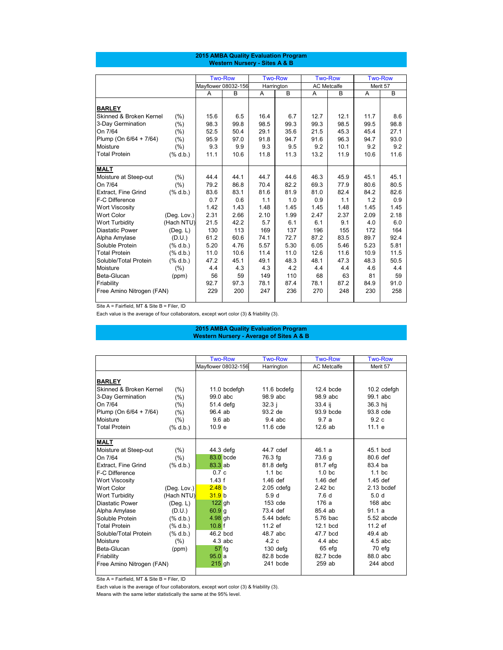Site A = Fairfield, MT & Site B = Filer, ID

Each value is the average of four collaborators, except wort color (3) & friability (3).

|                                    |                                                                                                             |      | <b>Two-Row</b>      |      | <b>Two-Row</b> |      | <b>Two-Row</b>     |      | <b>Two-Row</b> |
|------------------------------------|-------------------------------------------------------------------------------------------------------------|------|---------------------|------|----------------|------|--------------------|------|----------------|
|                                    |                                                                                                             |      | Mayflower 08032-156 |      | Harrington     |      | <b>AC Metcalfe</b> |      | Merit 57       |
|                                    |                                                                                                             | A    | B                   | A    | B              | A    | B                  | A    | $\mathsf B$    |
| <b>BARLEY</b>                      |                                                                                                             |      |                     |      |                |      |                    |      |                |
| <b>Skinned &amp; Broken Kernel</b> | (% )                                                                                                        | 15.6 | 6.5                 | 16.4 | 6.7            | 12.7 | 12.1               | 11.7 | 8.6            |
| 3-Day Germination                  | (% )                                                                                                        | 98.3 | 99.8                | 98.5 | 99.3           | 99.3 | 98.5               | 99.5 | 98.8           |
| On 7/64                            | (%)                                                                                                         | 52.5 | 50.4                | 29.1 | 35.6           | 21.5 | 45.3               | 45.4 | 27.1           |
| Plump (On 6/64 + 7/64)             | (% )                                                                                                        | 95.9 | 97.0                | 91.8 | 94.7           | 91.6 | 96.3               | 94.7 | 93.0           |
| Moisture                           | (% )                                                                                                        | 9.3  | 9.9                 | 9.3  | 9.5            | 9.2  | 10.1               | 9.2  | 9.2            |
| <b>Total Protein</b>               | $(% \mathbf{A})$ $\mathbf{A}$ $\mathbf{A}$ $\mathbf{A}$ $\mathbf{A}$ $\mathbf{A}$ $\mathbf{A}$ $\mathbf{A}$ | 11.1 | 10.6                | 11.8 | 11.3           | 13.2 | 11.9               | 10.6 | 11.6           |
|                                    |                                                                                                             |      |                     |      |                |      |                    |      |                |
| <b>MALT</b>                        |                                                                                                             |      |                     |      |                |      |                    |      |                |
| Moisture at Steep-out              | (% )                                                                                                        | 44.4 | 44.1                | 44.7 | 44.6           | 46.3 | 45.9               | 45.1 | 45.1           |
| On 7/64                            | (% )                                                                                                        | 79.2 | 86.8                | 70.4 | 82.2           | 69.3 | 77.9               | 80.6 | 80.5           |
| <b>Extract, Fine Grind</b>         | $(% \mathbf{A})$ $\mathbf{A}$ $\mathbf{A}$ $\mathbf{A}$ $\mathbf{A}$ $\mathbf{A}$ $\mathbf{A}$ $\mathbf{A}$ | 83.6 | 83.1                | 81.6 | 81.9           | 81.0 | 82.4               | 84.2 | 82.6           |
| F-C Difference                     |                                                                                                             | 0.7  | 0.6                 | 1.1  | 1.0            | 0.9  | 1.1                | 1.2  | 0.9            |
| <b>Wort Viscosity</b>              |                                                                                                             | 1.42 | 1.43                | 1.48 | 1.45           | 1.45 | 1.48               | 1.45 | 1.45           |
| <b>Wort Color</b>                  | (Deg. Lov.)                                                                                                 | 2.31 | 2.66                | 2.10 | 1.99           | 2.47 | 2.37               | 2.09 | 2.18           |
| <b>Wort Turbidity</b>              | (Hach NTU)                                                                                                  | 21.5 | 42.2                | 5.7  | 6.1            | 6.1  | 9.1                | 4.0  | 6.0            |
| <b>Diastatic Power</b>             | $($ Deg. L $)$                                                                                              | 130  | 113                 | 169  | 137            | 196  | 155                | 172  | 164            |
| Alpha Amylase                      | (D.U.)                                                                                                      | 61.2 | 60.6                | 74.1 | 72.7           | 87.2 | 83.5               | 89.7 | 92.4           |
| Soluble Protein                    | $(% \mathbf{A})$ $\mathbf{A}$ $\mathbf{A}$ $\mathbf{A}$ $\mathbf{A}$ $\mathbf{A}$ $\mathbf{A}$ $\mathbf{A}$ | 5.20 | 4.76                | 5.57 | 5.30           | 6.05 | 5.46               | 5.23 | 5.81           |
| <b>Total Protein</b>               | $(% \mathbf{A})$ (% d.b.)                                                                                   | 11.0 | 10.6                | 11.4 | 11.0           | 12.6 | 11.6               | 10.9 | 11.5           |
| Soluble/Total Protein              | (% 0, 0, 0)                                                                                                 | 47.2 | 45.1                | 49.1 | 48.3           | 48.1 | 47.3               | 48.3 | 50.5           |
| Moisture                           | (% )                                                                                                        | 4.4  | 4.3                 | 4.3  | 4.2            | 4.4  | 4.4                | 4.6  | 4.4            |
| <b>Beta-Glucan</b>                 | (ppm)                                                                                                       | 56   | 59                  | 149  | 110            | 68   | 63                 | 81   | 59             |
| Friability                         |                                                                                                             | 92.7 | 97.3                | 78.1 | 87.4           | 78.1 | 87.2               | 84.9 | 91.0           |
| Free Amino Nitrogen (FAN)          |                                                                                                             | 229  | 200                 | 247  | 236            | 270  | 248                | 230  | 258            |
|                                    |                                                                                                             |      |                     |      |                |      |                    |      |                |

|                                    |                                                                                                             | <b>Two-Row</b>      | <b>Two-Row</b>   | <b>Two-Row</b>     | <b>Two-Row</b>   |
|------------------------------------|-------------------------------------------------------------------------------------------------------------|---------------------|------------------|--------------------|------------------|
|                                    |                                                                                                             | Mayflower 08032-156 | Harrington       | <b>AC Metcalfe</b> | Merit 57         |
|                                    |                                                                                                             |                     |                  |                    |                  |
| <b>BARLEY</b>                      |                                                                                                             |                     |                  |                    |                  |
| <b>Skinned &amp; Broken Kernel</b> | (% )                                                                                                        | 11.0 bcdefgh        | 11.6 bcdefg      | $12.4$ bcde        | 10.2 cdefgh      |
| 3-Day Germination                  | (%)                                                                                                         | 99.0 abc            | 98.9 abc         | 98.9 abc           | 99.1 abc         |
| On 7/64                            | (% )                                                                                                        | 51.4 defg           | $32.3$ j         | 33.4 ij            | 36.3 hij         |
| Plump (On 6/64 + 7/64)             | (% )                                                                                                        | 96.4 ab             | 93.2 de          | 93.9 bcde          | 93.8 cde         |
| <b>Moisture</b>                    | $(\% )$                                                                                                     | 9.6ab               | $9.4$ abc        | 9.7a               | 9.2c             |
| <b>Total Protein</b>               | (% 0, 0, 0)                                                                                                 | 10.9 <sub>e</sub>   | 11.6 cde         | $12.6$ ab          | 11.1 e           |
|                                    |                                                                                                             |                     |                  |                    |                  |
| <b>MALT</b>                        |                                                                                                             |                     |                  |                    |                  |
| Moisture at Steep-out              | (% )                                                                                                        | 44.3 defg           | 44.7 cdef        | 46.1a              | 45.1 bcd         |
| On 7/64                            | (% )                                                                                                        | 83.0 bcde           | 76.3 fg          | 73.6 g             | 80.6 def         |
| <b>Extract, Fine Grind</b>         | (% d.b.)                                                                                                    | $83.3$ ab           | 81.8 defg        | 81.7 efg           | 83.4 ba          |
| F-C Difference                     |                                                                                                             | 0.7c                | $1.1$ bc         | 1.0 <sub>bc</sub>  | $1.1$ bc         |
| <b>Wort Viscosity</b>              |                                                                                                             | 1.43 f              | $1.46$ def       | $1.46$ def         | $1.45$ def       |
| <b>Wort Color</b>                  | (Deg. Lov.)                                                                                                 | 2.48 b              | $2.05$ cdefg     | 2.42 bc            | $2.13$ bcdef     |
| <b>Wort Turbidity</b>              | (Hach NTU)                                                                                                  | 31.9 b              | 5.9 <sub>d</sub> | 7.6 <sub>d</sub>   | 5.0 <sub>d</sub> |
| <b>Diastatic Power</b>             | $($ Deg. L $)$                                                                                              | 122 gh              | 153 cde          | 176 a              | $168$ abc        |
| Alpha Amylase                      | (D.U.)                                                                                                      | $60.9$ g            | 73.4 def         | 85.4 ab            | 91.1a            |
| Soluble Protein                    | $(% \mathbf{A})$ $\mathbf{A}$ $\mathbf{A}$ $\mathbf{A}$ $\mathbf{A}$ $\mathbf{A}$ $\mathbf{A}$              | 4.98 gh             | 5.44 bdefc       | 5.76 bac           | 5.52 abcde       |
| <b>Total Protein</b>               | $(% \mathbf{A})$ $\mathbf{A}$ $\mathbf{A}$ $\mathbf{A}$ $\mathbf{A}$ $\mathbf{A}$ $\mathbf{A}$ $\mathbf{A}$ | $10.8$ f            | 11.2 ef          | 12.1 bcd           | 11.2 ef          |
| Soluble/Total Protein              | (% 0, 0, 0)                                                                                                 | 46.2 bcd            | 48.7 abc         | 47.7 bcd           | 49.4 ab          |
| Moisture                           | (% )                                                                                                        | $4.3$ abc           | 4.2c             | $4.4$ abc          | $4.5$ abc        |
| Beta-Glucan                        | (ppm)                                                                                                       | $57$ fg             | 130 defg         | 65 efg             | $70$ efg         |
| Friability                         |                                                                                                             | 95.0a               | 82.8 bcde        | 82.7 bcde          | 88.0 abc         |
| Free Amino Nitrogen (FAN)          |                                                                                                             | 215 gh              | 241 bcde         | 259 ab             | 244 abcd         |
|                                    |                                                                                                             |                     |                  |                    |                  |

Site A = Fairfield, MT & Site B = Filer, ID

Each value is the average of four collaborators, except wort color (3) & friability (3).

Means with the same letter statistically the same at the 95% level.

## **2015 AMBA Quality Evaluation Program Western Nursery - Sites A & B**

#### **2015 AMBA Quality Evaluation Program Western Nursery - Average of Sites A & B**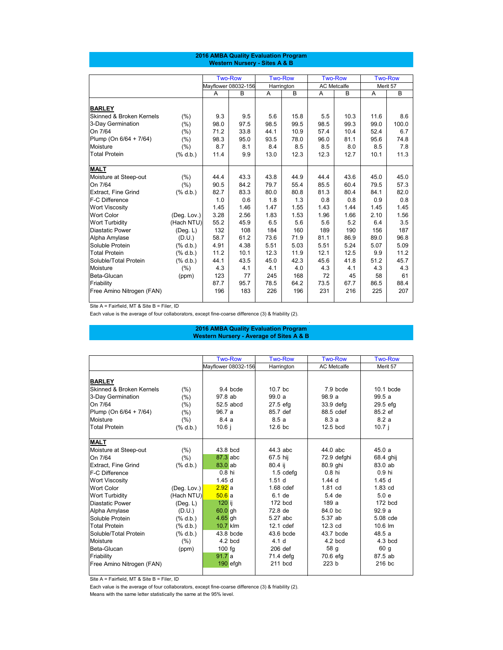Site A = Fairfield, MT & Site B = Filer, ID

Each value is the average of four collaborators, except fine-coarse difference (3) & friability (2).

.

|                                     |                                                                                                                                                                                                                                                                                                                          |      | <b>Two-Row</b>      |      | <b>Two-Row</b> |                | <b>Two-Row</b>     |                | <b>Two-Row</b> |
|-------------------------------------|--------------------------------------------------------------------------------------------------------------------------------------------------------------------------------------------------------------------------------------------------------------------------------------------------------------------------|------|---------------------|------|----------------|----------------|--------------------|----------------|----------------|
|                                     |                                                                                                                                                                                                                                                                                                                          |      | Mayflower 08032-156 |      | Harrington     |                | <b>AC Metcalfe</b> |                | Merit 57       |
|                                     |                                                                                                                                                                                                                                                                                                                          | A    | B                   | A    | $\mathsf B$    | $\overline{A}$ | $\mathsf B$        | $\overline{A}$ | $\overline{B}$ |
| <b>BARLEY</b>                       |                                                                                                                                                                                                                                                                                                                          |      |                     |      |                |                |                    |                |                |
| <b>Skinned &amp; Broken Kernels</b> | (%)                                                                                                                                                                                                                                                                                                                      | 9.3  | 9.5                 | 5.6  | 15.8           | 5.5            | 10.3               | 11.6           | 8.6            |
| 3-Day Germination                   | (%)                                                                                                                                                                                                                                                                                                                      | 98.0 | 97.5                | 98.5 | 99.5           | 98.5           | 99.3               | 99.0           | 100.0          |
| On 7/64                             | (%)                                                                                                                                                                                                                                                                                                                      | 71.2 | 33.8                | 44.1 | 10.9           | 57.4           | 10.4               | 52.4           | 6.7            |
| Plump (On 6/64 + 7/64)              | (%)                                                                                                                                                                                                                                                                                                                      | 98.3 | 95.0                | 93.5 | 78.0           | 96.0           | 81.1               | 95.6           | 74.8           |
| Moisture                            | (% )                                                                                                                                                                                                                                                                                                                     | 8.7  | 8.1                 | 8.4  | 8.5            | 8.5            | 8.0                | 8.5            | 7.8            |
| <b>Total Protein</b>                | $(% \mathbf{A})$ $\mathbf{A}$ $\mathbf{A}$ $\mathbf{A}$ $\mathbf{A}$ $\mathbf{A}$ $\mathbf{A}$ $\mathbf{A}$                                                                                                                                                                                                              | 11.4 | 9.9                 | 13.0 | 12.3           | 12.3           | 12.7               | 10.1           | 11.3           |
| <b>MALT</b>                         |                                                                                                                                                                                                                                                                                                                          |      |                     |      |                |                |                    |                |                |
| Moisture at Steep-out               | (%)                                                                                                                                                                                                                                                                                                                      | 44.4 | 43.3                | 43.8 | 44.9           | 44.4           | 43.6               | 45.0           | 45.0           |
| On 7/64                             | (%)                                                                                                                                                                                                                                                                                                                      | 90.5 | 84.2                | 79.7 | 55.4           | 85.5           | 60.4               | 79.5           | 57.3           |
| <b>Extract, Fine Grind</b>          | $(% \mathbf{A})$ $\mathbf{A}$ $\mathbf{A}$ $\mathbf{A}$ $\mathbf{A}$ $\mathbf{A}$ $\mathbf{A}$ $\mathbf{A}$                                                                                                                                                                                                              | 82.7 | 83.3                | 80.0 | 80.8           | 81.3           | 80.4               | 84.1           | 82.0           |
| <b>F-C Difference</b>               |                                                                                                                                                                                                                                                                                                                          | 1.0  | 0.6                 | 1.8  | 1.3            | 0.8            | 0.8                | 0.9            | 0.8            |
| <b>Wort Viscosity</b>               |                                                                                                                                                                                                                                                                                                                          | 1.45 | 1.46                | 1.47 | 1.55           | 1.43           | 1.44               | 1.45           | 1.45           |
| <b>Wort Color</b>                   | (Deg. Lov.)                                                                                                                                                                                                                                                                                                              | 3.28 | 2.56                | 1.83 | 1.53           | 1.96           | 1.66               | 2.10           | 1.56           |
| <b>Wort Turbidity</b>               | (Hach NTU)                                                                                                                                                                                                                                                                                                               | 55.2 | 45.9                | 6.5  | 5.6            | 5.6            | 5.2                | 6.4            | 3.5            |
| <b>Diastatic Power</b>              | (Deg. L)                                                                                                                                                                                                                                                                                                                 | 132  | 108                 | 184  | 160            | 189            | 190                | 156            | 187            |
| Alpha Amylase                       | (D.U.)                                                                                                                                                                                                                                                                                                                   | 58.7 | 61.2                | 73.6 | 71.9           | 81.1           | 86.9               | 89.0           | 96.8           |
| Soluble Protein                     | $(% \mathbf{A})$ $\mathbf{A}$ $\mathbf{A}$ $\mathbf{A}$ $\mathbf{A}$ $\mathbf{A}$ $\mathbf{A}$ $\mathbf{A}$                                                                                                                                                                                                              | 4.91 | 4.38                | 5.51 | 5.03           | 5.51           | 5.24               | 5.07           | 5.09           |
| <b>Total Protein</b>                | $(% \mathbb{R}^2)$ $\frac{1}{2}$ $\frac{1}{2}$ $\frac{1}{2}$ $\frac{1}{2}$ $\frac{1}{2}$ $\frac{1}{2}$ $\frac{1}{2}$ $\frac{1}{2}$ $\frac{1}{2}$ $\frac{1}{2}$ $\frac{1}{2}$ $\frac{1}{2}$ $\frac{1}{2}$ $\frac{1}{2}$ $\frac{1}{2}$ $\frac{1}{2}$ $\frac{1}{2}$ $\frac{1}{2}$ $\frac{1}{2}$ $\frac{1}{2}$ $\frac{1}{2}$ | 11.2 | 10.1                | 12.3 | 11.9           | 12.1           | 12.5               | 9.9            | 11.2           |
| Soluble/Total Protein               | (% 0, 0, 0)                                                                                                                                                                                                                                                                                                              | 44.1 | 43.5                | 45.0 | 42.3           | 45.6           | 41.8               | 51.2           | 45.7           |
| Moisture                            | (%)                                                                                                                                                                                                                                                                                                                      | 4.3  | 4.1                 | 4.1  | 4.0            | 4.3            | 4.1                | 4.3            | 4.3            |
| Beta-Glucan                         | (ppm)                                                                                                                                                                                                                                                                                                                    | 123  | 77                  | 245  | 168            | 72             | 45                 | 58             | 61             |
| Friability                          |                                                                                                                                                                                                                                                                                                                          | 87.7 | 95.7                | 78.5 | 64.2           | 73.5           | 67.7               | 86.5           | 88.4           |
| Free Amino Nitrogen (FAN)           |                                                                                                                                                                                                                                                                                                                          | 196  | 183                 | 226  | 196            | 231            | 216                | 225            | 207            |

|                                     |                                                                                                             | <b>Two-Row</b>      | <b>Two-Row</b>    | <b>Two-Row</b>     | <b>Two-Row</b>    |
|-------------------------------------|-------------------------------------------------------------------------------------------------------------|---------------------|-------------------|--------------------|-------------------|
|                                     |                                                                                                             | Mayflower 08032-156 | Harrington        | <b>AC Metcalfe</b> | Merit 57          |
|                                     |                                                                                                             |                     |                   |                    |                   |
| <b>BARLEY</b>                       |                                                                                                             |                     |                   |                    |                   |
| <b>Skinned &amp; Broken Kernels</b> | (% )                                                                                                        | 9.4 bcde            | $10.7$ bc         | 7.9 bcde           | 10.1 bcde         |
| 3-Day Germination                   | (% )                                                                                                        | 97.8 ab             | 99.0 a            | 98.9 a             | 99.5a             |
| On 7/64                             | $(\% )$                                                                                                     | 52.5 abcd           | 27.5 efg          | 33.9 defg          | 29.5 efg          |
| Plump (On 6/64 + 7/64)              | (% )                                                                                                        | 96.7 a              | 85.7 def          | 88.5 cdef          | 85.2 ef           |
| Moisture                            | (% )                                                                                                        | 8.4a                | 8.5a              | 8.3 a              | 8.2a              |
| <b>Total Protein</b>                | $(% \mathbf{A})$ (% d.b.)                                                                                   | 10.6j               | 12.6 bc           | 12.5 bcd           | $10.7$ j          |
|                                     |                                                                                                             |                     |                   |                    |                   |
| <b>MALT</b>                         |                                                                                                             |                     |                   |                    |                   |
| Moisture at Steep-out               | (% )                                                                                                        | 43.8 bcd            | 44.3 abc          | 44.0 abc           | 45.0a             |
| On 7/64                             | (% )                                                                                                        | 87.3 abc            | 67.5 hij          | 72.9 defghi        | 68.4 ghij         |
| <b>Extract, Fine Grind</b>          | $(% \mathbf{A})$ (% d.b.)                                                                                   | $83.0$ ab           | 80.4 ij           | 80.9 ghi           | 83.0 ab           |
| F-C Difference                      |                                                                                                             | $0.8$ hi            | $1.5$ cdefg       | 0.8 hi             | 0.9 hi            |
| <b>Wort Viscosity</b>               |                                                                                                             | 1.45d               | 1.51 <sub>d</sub> | $1.44$ d           | 1.45 <sub>d</sub> |
| <b>Wort Color</b>                   | (Deg. Lov.)                                                                                                 | 2.92a               | $1.68$ cdef       | 1.81 cd            | 1.83 cd           |
| <b>Wort Turbidity</b>               | (Hach NTU)                                                                                                  | 50.6a               | 6.1 de            | 5.4 de             | 5.0 e             |
| <b>Diastatic Power</b>              | (Deg. L)                                                                                                    | $120$ ij            | 172 bcd           | 189 a              | 172 bcd           |
| Alpha Amylase                       | (D.U.)                                                                                                      | 60.0 gh             | 72.8 de           | 84.0 bc            | 92.9a             |
| Soluble Protein                     | $(% \mathbf{A})$ $\mathbf{A}$ $\mathbf{A}$ $\mathbf{A}$ $\mathbf{A}$ $\mathbf{A}$ $\mathbf{A}$ $\mathbf{A}$ | 4.65 gh             | 5.27 abc          | 5.37 ab            | 5.08 cde          |
| <b>Total Protein</b>                | $(% \mathbf{A})$ (% d.b.)                                                                                   | 10.7 klm            | 12.1 cdef         | 12.3 cd            | 10.6 lm           |
| Soluble/Total Protein               | $(% \mathbf{A})$ (% d.b.)                                                                                   | 43.8 bcde           | 43.6 bcde         | 43.7 bcde          | 48.5a             |
| Moisture                            | (% )                                                                                                        | 4.2 bcd             | 4.1 <sub>d</sub>  | $4.2$ bcd          | $4.3$ bcd         |
| Beta-Glucan                         | (ppm)                                                                                                       | 100 fg              | 206 def           | 58 g               | 60 g              |
| Friability                          |                                                                                                             | 91.7a               | 71.4 defg         | 70.6 efg           | 87.5 ab           |
| Free Amino Nitrogen (FAN)           |                                                                                                             | 190 efgh            | 211 bcd           | 223 b              | 216 bc            |
|                                     |                                                                                                             |                     |                   |                    |                   |

Site A = Fairfield, MT & Site B = Filer, ID

Each value is the average of four collaborators, except fine-coarse difference (3) & friability (2).

Means with the same letter statistically the same at the 95% level.

# **2016 AMBA Quality Evaluation Program**

|  | <b>Western Nursery - Average of Sites A &amp; B</b> |  |  |
|--|-----------------------------------------------------|--|--|
|  |                                                     |  |  |
|  |                                                     |  |  |

# **2016 AMBA Quality Evaluation Program Western Nursery - Sites A & B**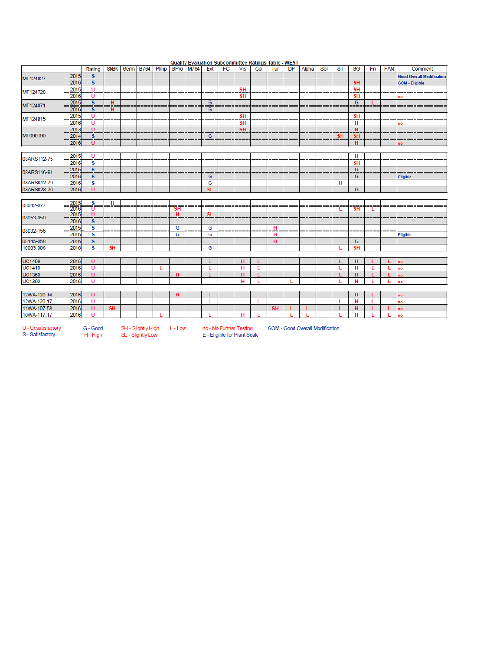|                            |                          | Rating                        | <b>SkBk</b> | Germ               | <b>B764</b> | Plmp | <b>BPro</b>    | M764 | Ext            | <b>Quality Evaluation Subcommittee Kathlys Table - WEST</b><br>FC | <b>Vis</b>             | Col | Tur       | <b>DP</b> | Alpha                                  | Sol | ST        | <b>BG</b>      | Fri | <b>FAN</b> | Comment                          |
|----------------------------|--------------------------|-------------------------------|-------------|--------------------|-------------|------|----------------|------|----------------|-------------------------------------------------------------------|------------------------|-----|-----------|-----------|----------------------------------------|-----|-----------|----------------|-----|------------|----------------------------------|
|                            |                          | $\mathbf{s}$                  |             |                    |             |      |                |      |                |                                                                   |                        |     |           |           |                                        |     |           |                |     |            |                                  |
| MT124027                   | 2015<br>2016             |                               |             |                    |             |      |                |      |                |                                                                   |                        |     |           |           |                                        |     |           | <b>SH</b>      |     |            | <b>Good Overall Modification</b> |
|                            | 2015                     | S                             |             |                    |             |      |                |      |                |                                                                   |                        |     |           |           |                                        |     |           |                |     |            | <b>GOM - Eligible</b>            |
| MT124728                   | 2016                     | U<br>U                        |             |                    |             |      |                |      |                |                                                                   | <b>SH</b><br><b>SH</b> |     |           |           |                                        |     |           | <b>SH</b>      |     |            |                                  |
|                            |                          | $\overline{\mathbf{s}}$       | H           |                    |             |      |                |      | G              |                                                                   |                        |     |           |           |                                        |     |           | <b>SH</b><br>G |     |            | no                               |
| MT124071                   | 2015                     |                               |             |                    |             |      |                |      |                |                                                                   |                        |     |           |           |                                        |     |           |                |     |            |                                  |
|                            | 2016                     | S                             | н           |                    |             |      |                |      | G              |                                                                   |                        |     |           |           |                                        |     |           |                |     |            |                                  |
| MT124015                   | 2015                     | $\mathsf{U}$                  |             |                    |             |      |                |      |                |                                                                   | <b>SH</b>              |     |           |           |                                        |     |           | <b>SH</b>      |     |            |                                  |
|                            | 2016                     | υ                             |             |                    |             |      |                |      |                |                                                                   | <b>SH</b>              |     |           |           |                                        |     |           | н              |     |            | no                               |
| MT090190                   | 2013                     | $\mathbf{U}$<br>$\frac{8}{s}$ |             |                    |             |      |                |      |                |                                                                   | <b>SH</b>              |     |           |           |                                        |     |           | н              |     |            |                                  |
|                            | 2014                     |                               |             |                    |             |      |                |      | $\overline{G}$ |                                                                   |                        |     |           |           |                                        |     | <b>SH</b> | <b>SH</b>      |     |            |                                  |
|                            | 2016                     | υ                             |             |                    |             |      |                |      |                |                                                                   |                        |     |           |           |                                        |     |           | н              |     |            |                                  |
|                            |                          |                               |             |                    |             |      |                |      |                |                                                                   |                        |     |           |           |                                        |     |           |                |     |            |                                  |
| 08ARS112-75                | 2015<br>$\frac{1}{2016}$ | U<br>$\overline{\mathbf{s}}$  |             |                    |             |      |                |      |                |                                                                   |                        |     |           |           |                                        |     |           | н              |     |            |                                  |
|                            |                          |                               |             |                    |             |      |                |      |                |                                                                   |                        |     |           |           |                                        |     |           | <b>SH</b>      |     |            |                                  |
| 08ARS116-91                | 2015                     | S                             |             |                    |             |      |                |      |                |                                                                   |                        |     |           |           |                                        |     |           | G              |     |            |                                  |
|                            | 2016                     | s                             |             |                    |             |      |                |      | G              |                                                                   |                        |     |           |           |                                        |     |           | G              |     |            | Eligible                         |
| 08ARS012-79                | 2016                     | S                             |             |                    |             |      |                |      | G              |                                                                   |                        |     |           |           |                                        |     | н         |                |     |            |                                  |
| 08ARS028-20                | 2016                     | $\mathbf{U}$                  |             |                    |             |      |                |      | <b>SL</b>      |                                                                   |                        |     |           |           |                                        |     |           | G              |     |            |                                  |
|                            |                          |                               |             |                    |             |      |                |      |                |                                                                   |                        |     |           |           |                                        |     |           |                |     |            |                                  |
| 08042-077                  | 2015<br>2016             | s<br>U                        | н           |                    |             |      |                |      |                |                                                                   |                        |     |           |           |                                        |     |           |                |     |            |                                  |
|                            | 2015                     | U                             |             |                    |             |      | <b>SH</b><br>н |      | <b>SL</b>      |                                                                   |                        |     |           |           |                                        |     | L.        | <b>SH</b>      | L.  |            |                                  |
| 08053-050                  | 2016                     |                               |             |                    |             |      |                |      |                |                                                                   |                        |     |           |           |                                        |     |           |                |     |            |                                  |
|                            |                          | s<br>S                        |             |                    |             |      | G              |      | G              |                                                                   |                        |     | H         |           |                                        |     |           |                |     |            |                                  |
| 08032-156                  | 2015<br>2016             | s                             |             |                    |             |      | G              |      | G              |                                                                   |                        |     | н         |           |                                        |     |           |                |     |            |                                  |
| 08145-058                  | 2016                     | S.                            |             |                    |             |      |                |      |                |                                                                   |                        |     | н         |           |                                        |     |           | G              |     |            | <b>Eligible</b>                  |
| 10003-006                  | 2016                     | s                             | <b>SH</b>   |                    |             |      |                |      | G              |                                                                   |                        |     |           |           |                                        |     |           | <b>SH</b>      |     |            |                                  |
|                            |                          |                               |             |                    |             |      |                |      |                |                                                                   |                        |     |           |           |                                        |     |           |                |     |            |                                  |
| <b>UC1409</b>              | 2016                     | <b>U</b>                      |             |                    |             |      |                |      |                |                                                                   |                        |     |           |           |                                        |     |           |                |     |            |                                  |
| <b>UC1410</b>              | 2016                     | U                             |             |                    |             |      |                |      | L              |                                                                   | н<br>н                 | L   |           |           |                                        |     | L         | н<br>н         |     | L          | no                               |
| <b>UC1360</b>              | 2016                     | $\mathbf{U}$                  |             |                    |             | L    |                |      |                |                                                                   |                        |     |           |           |                                        |     |           |                |     |            | no                               |
|                            |                          | <b>U</b>                      |             |                    |             |      | н              |      |                |                                                                   | н                      |     |           |           |                                        |     |           | н              |     |            | no                               |
| <b>UC1390</b>              | 2016                     |                               |             |                    |             |      |                |      |                |                                                                   | н                      |     |           |           |                                        |     |           | н              |     |            | no                               |
|                            |                          |                               |             |                    |             |      |                |      |                |                                                                   |                        |     |           |           |                                        |     |           |                |     |            |                                  |
| 12WA-120.14<br>12WA-120.17 | 2016                     | U                             |             |                    |             |      | H              |      |                |                                                                   |                        |     |           |           |                                        |     |           | н              |     |            | no                               |
|                            | 2016                     | U                             |             |                    |             |      |                |      | L              |                                                                   |                        | L   |           |           |                                        |     | L         | н              |     |            | no                               |
| 11WA-107.58                | 2016                     | U                             | <b>SH</b>   |                    |             |      |                |      |                |                                                                   |                        |     | <b>SH</b> |           |                                        |     |           | н              |     |            | no                               |
| 10WA-117.17                | 2016                     | $\mathbf{U}$                  |             |                    |             |      |                |      |                |                                                                   | н                      |     |           |           |                                        |     |           | н              | ٠   |            | no                               |
|                            |                          |                               |             |                    |             |      |                |      |                |                                                                   |                        |     |           |           |                                        |     |           |                |     |            |                                  |
| U - Unsatisfactory         |                          | G - Good                      |             | SH - Slightly High |             |      | L - Low        |      |                | no - No Further Testing                                           |                        |     |           |           | <b>GOM - Good Overall Modification</b> |     |           |                |     |            |                                  |
| S - Satisfactory           |                          | H - High                      |             | SL - Slightly Low  |             |      |                |      |                | E - Eligible for Plant Scale                                      |                        |     |           |           |                                        |     |           |                |     |            |                                  |

Quality Evaluation Subcommittee Ratings Table - WEST